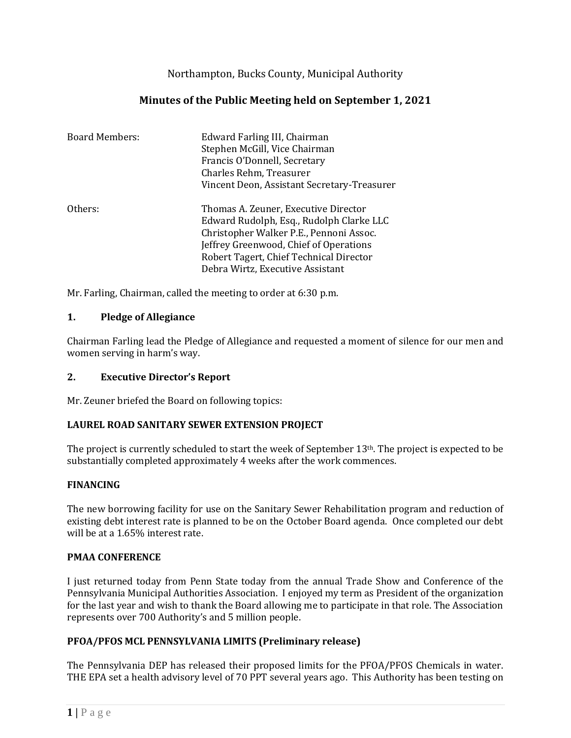Northampton, Bucks County, Municipal Authority

# **Minutes of the Public Meeting held on September 1, 2021**

| <b>Board Members:</b> | Edward Farling III, Chairman<br>Stephen McGill, Vice Chairman<br>Francis O'Donnell, Secretary<br>Charles Rehm, Treasurer<br>Vincent Deon, Assistant Secretary-Treasurer                                                                              |
|-----------------------|------------------------------------------------------------------------------------------------------------------------------------------------------------------------------------------------------------------------------------------------------|
| Others:               | Thomas A. Zeuner, Executive Director<br>Edward Rudolph, Esq., Rudolph Clarke LLC<br>Christopher Walker P.E., Pennoni Assoc.<br>Jeffrey Greenwood, Chief of Operations<br>Robert Tagert, Chief Technical Director<br>Debra Wirtz, Executive Assistant |

Mr. Farling, Chairman, called the meeting to order at 6:30 p.m.

### **1. Pledge of Allegiance**

Chairman Farling lead the Pledge of Allegiance and requested a moment of silence for our men and women serving in harm's way.

### **2. Executive Director's Report**

Mr. Zeuner briefed the Board on following topics:

### **LAUREL ROAD SANITARY SEWER EXTENSION PROJECT**

The project is currently scheduled to start the week of September 13th. The project is expected to be substantially completed approximately 4 weeks after the work commences.

### **FINANCING**

The new borrowing facility for use on the Sanitary Sewer Rehabilitation program and reduction of existing debt interest rate is planned to be on the October Board agenda. Once completed our debt will be at a 1.65% interest rate.

### **PMAA CONFERENCE**

I just returned today from Penn State today from the annual Trade Show and Conference of the Pennsylvania Municipal Authorities Association. I enjoyed my term as President of the organization for the last year and wish to thank the Board allowing me to participate in that role. The Association represents over 700 Authority's and 5 million people.

### **PFOA/PFOS MCL PENNSYLVANIA LIMITS (Preliminary release)**

The Pennsylvania DEP has released their proposed limits for the PFOA/PFOS Chemicals in water. THE EPA set a health advisory level of 70 PPT several years ago. This Authority has been testing on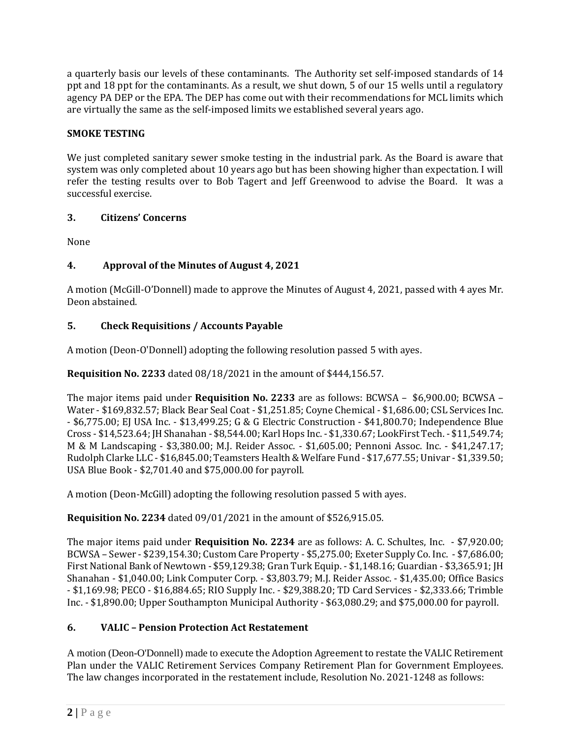a quarterly basis our levels of these contaminants. The Authority set self-imposed standards of 14 ppt and 18 ppt for the contaminants. As a result, we shut down, 5 of our 15 wells until a regulatory agency PA DEP or the EPA. The DEP has come out with their recommendations for MCL limits which are virtually the same as the self-imposed limits we established several years ago.

# **SMOKE TESTING**

We just completed sanitary sewer smoke testing in the industrial park. As the Board is aware that system was only completed about 10 years ago but has been showing higher than expectation. I will refer the testing results over to Bob Tagert and Jeff Greenwood to advise the Board. It was a successful exercise.

# **3. Citizens' Concerns**

None

# **4. Approval of the Minutes of August 4, 2021**

A motion (McGill-O'Donnell) made to approve the Minutes of August 4, 2021, passed with 4 ayes Mr. Deon abstained.

# **5. Check Requisitions / Accounts Payable**

A motion (Deon-O'Donnell) adopting the following resolution passed 5 with ayes.

**Requisition No. 2233** dated 08/18/2021 in the amount of \$444,156.57.

The major items paid under **Requisition No. 2233** are as follows: BCWSA – \$6,900.00; BCWSA – Water - \$169,832.57; Black Bear Seal Coat - \$1,251.85; Coyne Chemical - \$1,686.00; CSL Services Inc. - \$6,775.00; EJ USA Inc. - \$13,499.25; G & G Electric Construction - \$41,800.70; Independence Blue Cross - \$14,523.64; JH Shanahan - \$8,544.00; Karl Hops Inc. - \$1,330.67; LookFirst Tech. - \$11,549.74; M & M Landscaping - \$3,380.00; M.J. Reider Assoc. - \$1,605.00; Pennoni Assoc. Inc. - \$41,247.17; Rudolph Clarke LLC - \$16,845.00; Teamsters Health & Welfare Fund - \$17,677.55; Univar - \$1,339.50; USA Blue Book - \$2,701.40 and \$75,000.00 for payroll.

A motion (Deon-McGill) adopting the following resolution passed 5 with ayes.

**Requisition No. 2234** dated 09/01/2021 in the amount of \$526,915.05.

The major items paid under **Requisition No. 2234** are as follows: A. C. Schultes, Inc. - \$7,920.00; BCWSA – Sewer - \$239,154.30; Custom Care Property - \$5,275.00; Exeter Supply Co. Inc. - \$7,686.00; First National Bank of Newtown - \$59,129.38; Gran Turk Equip. - \$1,148.16; Guardian - \$3,365.91; JH Shanahan - \$1,040.00; Link Computer Corp. - \$3,803.79; M.J. Reider Assoc. - \$1,435.00; Office Basics - \$1,169.98; PECO - \$16,884.65; RIO Supply Inc. - \$29,388.20; TD Card Services - \$2,333.66; Trimble Inc. - \$1,890.00; Upper Southampton Municipal Authority - \$63,080.29; and \$75,000.00 for payroll.

# **6. VALIC – Pension Protection Act Restatement**

A motion (Deon-O'Donnell) made to execute the Adoption Agreement to restate the VALIC Retirement Plan under the VALIC Retirement Services Company Retirement Plan for Government Employees. The law changes incorporated in the restatement include, Resolution No. 2021-1248 as follows: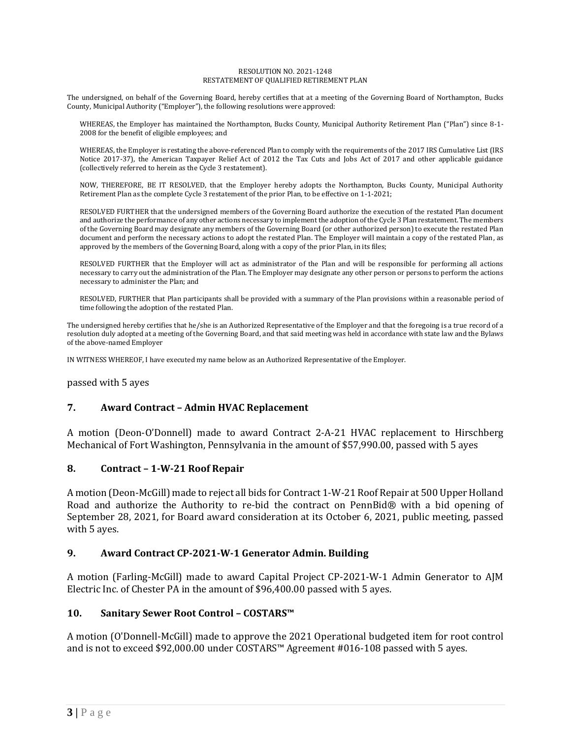#### RESOLUTION NO. 2021-1248 RESTATEMENT OF QUALIFIED RETIREMENT PLAN

The undersigned, on behalf of the Governing Board, hereby certifies that at a meeting of the Governing Board of Northampton, Bucks County, Municipal Authority ("Employer"), the following resolutions were approved:

WHEREAS, the Employer has maintained the Northampton, Bucks County, Municipal Authority Retirement Plan ("Plan") since 8-1- 2008 for the benefit of eligible employees; and

WHEREAS, the Employer is restating the above-referenced Plan to comply with the requirements of the 2017 IRS Cumulative List (IRS Notice 2017-37), the American Taxpayer Relief Act of 2012 the Tax Cuts and Jobs Act of 2017 and other applicable guidance (collectively referred to herein as the Cycle 3 restatement).

NOW, THEREFORE, BE IT RESOLVED, that the Employer hereby adopts the Northampton, Bucks County, Municipal Authority Retirement Plan as the complete Cycle 3 restatement of the prior Plan, to be effective on 1-1-2021;

RESOLVED FURTHER that the undersigned members of the Governing Board authorize the execution of the restated Plan document and authorize the performance of any other actions necessary to implement the adoption of the Cycle 3 Plan restatement. The members of the Governing Board may designate any members of the Governing Board (or other authorized person) to execute the restated Plan document and perform the necessary actions to adopt the restated Plan. The Employer will maintain a copy of the restated Plan, as approved by the members of the Governing Board, along with a copy of the prior Plan, in its files;

RESOLVED FURTHER that the Employer will act as administrator of the Plan and will be responsible for performing all actions necessary to carry out the administration of the Plan. The Employer may designate any other person or persons to perform the actions necessary to administer the Plan; and

RESOLVED, FURTHER that Plan participants shall be provided with a summary of the Plan provisions within a reasonable period of time following the adoption of the restated Plan.

The undersigned hereby certifies that he/she is an Authorized Representative of the Employer and that the foregoing is a true record of a resolution duly adopted at a meeting of the Governing Board, and that said meeting was held in accordance with state law and the Bylaws of the above-named Employer

IN WITNESS WHEREOF, I have executed my name below as an Authorized Representative of the Employer.

passed with 5 ayes

### **7. Award Contract – Admin HVAC Replacement**

A motion (Deon-O'Donnell) made to award Contract 2-A-21 HVAC replacement to Hirschberg Mechanical of Fort Washington, Pennsylvania in the amount of \$57,990.00, passed with 5 ayes

### **8. Contract – 1-W-21 Roof Repair**

A motion (Deon-McGill) made to reject all bids for Contract 1-W-21 Roof Repair at 500 Upper Holland Road and authorize the Authority to re-bid the contract on PennBid® with a bid opening of September 28, 2021, for Board award consideration at its October 6, 2021, public meeting, passed with 5 ayes.

### **9. Award Contract CP-2021-W-1 Generator Admin. Building**

A motion (Farling-McGill) made to award Capital Project CP-2021-W-1 Admin Generator to AJM Electric Inc. of Chester PA in the amount of \$96,400.00 passed with 5 ayes.

### **10. Sanitary Sewer Root Control – COSTARS™**

A motion (O'Donnell-McGill) made to approve the 2021 Operational budgeted item for root control and is not to exceed \$92,000.00 under COSTARS™ Agreement #016-108 passed with 5 ayes.